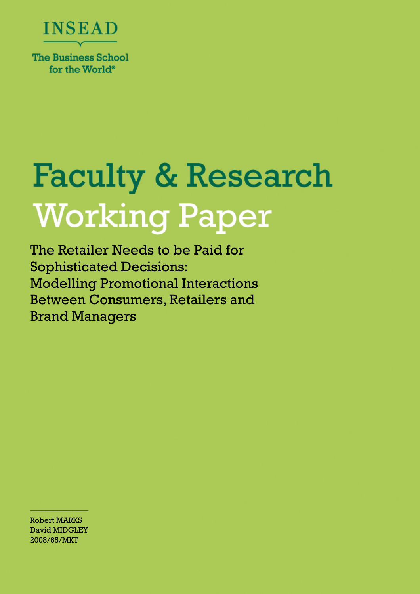

**The Business School** for the World<sup>®</sup>

# **Faculty & Research Working Paper**

The Retailer Needs to be Paid for Sophisticated Decisions: Modelling Promotional Interactions Between Consumers, Retailers and Brand Managers

Robert MARKS David MIDGLEY 2008/65/MKT

 $\frac{1}{2}$  ,  $\frac{1}{2}$  ,  $\frac{1}{2}$  ,  $\frac{1}{2}$  ,  $\frac{1}{2}$  ,  $\frac{1}{2}$  ,  $\frac{1}{2}$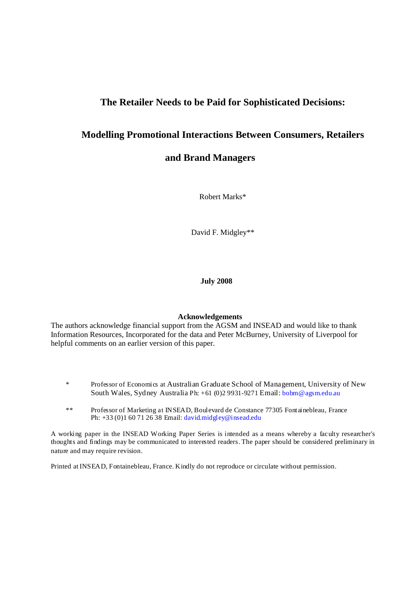## **The Retailer Needs to be Paid for Sophisticated Decisions:**

# **Modelling Promotional Interactions Between Consumers, Retailers**

## **and Brand Managers**

Robert Marks\*

David F. Midgley\*\*

**July 2008** 

#### **Acknowledgements**

The authors acknowledge financial support from the AGSM and INSEAD and would like to thank Information Resources, Incorporated for the data and Peter McBurney, University of Liverpool for helpful comments on an earlier version of this paper.

- \* Professor of Economics at Australian Graduate School of Management, University of New South Wales, Sydney Australia Ph: +61 (0)2 9931-9271 Email: bobm@agsm.edu.au
- \*\* Professor of Marketing at INSEAD, Boulevard de Constance 77305 Fontainebleau, France Ph: +33 (0)1 60 71 26 38 Email: david.midgley@insead.edu

A working paper in the INSEAD Working Paper Series is intended as a means whereby a faculty researcher's thoughts and findings may be communicated to interested readers. The paper should be considered preliminary in nature and may require revision.

Printed at INSEAD, Fontainebleau, France. Kindly do not reproduce or circulate without permission.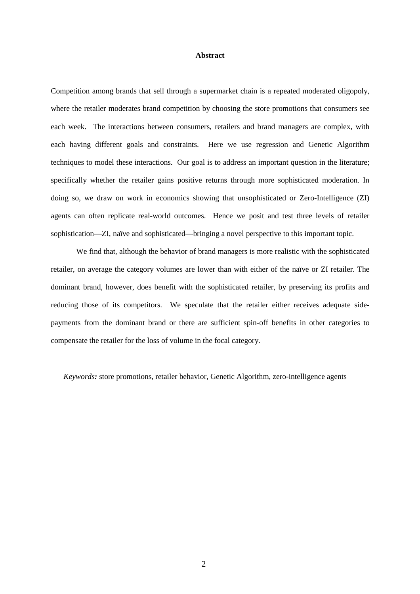#### **Abstract**

Competition among brands that sell through a supermarket chain is a repeated moderated oligopoly, where the retailer moderates brand competition by choosing the store promotions that consumers see each week. The interactions between consumers, retailers and brand managers are complex, with each having different goals and constraints. Here we use regression and Genetic Algorithm techniques to model these interactions. Our goal is to address an important question in the literature; specifically whether the retailer gains positive returns through more sophisticated moderation. In doing so, we draw on work in economics showing that unsophisticated or Zero-Intelligence (ZI) agents can often replicate real-world outcomes. Hence we posit and test three levels of retailer sophistication—ZI, naïve and sophisticated—bringing a novel perspective to this important topic.

We find that, although the behavior of brand managers is more realistic with the sophisticated retailer, on average the category volumes are lower than with either of the naïve or ZI retailer. The dominant brand, however, does benefit with the sophisticated retailer, by preserving its profits and reducing those of its competitors. We speculate that the retailer either receives adequate sidepayments from the dominant brand or there are sufficient spin-off benefits in other categories to compensate the retailer for the loss of volume in the focal category.

*Keywords:* store promotions, retailer behavior, Genetic Algorithm, zero-intelligence agents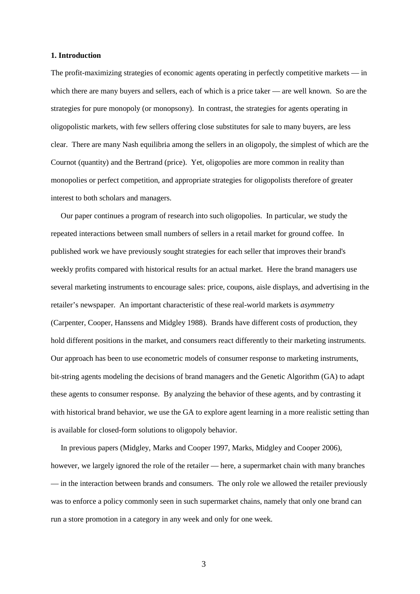#### **1. Introduction**

The profit-maximizing strategies of economic agents operating in perfectly competitive markets — in which there are many buyers and sellers, each of which is a price taker — are well known. So are the strategies for pure monopoly (or monopsony). In contrast, the strategies for agents operating in oligopolistic markets, with few sellers offering close substitutes for sale to many buyers, are less clear. There are many Nash equilibria among the sellers in an oligopoly, the simplest of which are the Cournot (quantity) and the Bertrand (price). Yet, oligopolies are more common in reality than monopolies or perfect competition, and appropriate strategies for oligopolists therefore of greater interest to both scholars and managers.

Our paper continues a program of research into such oligopolies. In particular, we study the repeated interactions between small numbers of sellers in a retail market for ground coffee. In published work we have previously sought strategies for each seller that improves their brand's weekly profits compared with historical results for an actual market. Here the brand managers use several marketing instruments to encourage sales: price, coupons, aisle displays, and advertising in the retailer's newspaper. An important characteristic of these real-world markets is *asymmetry*  (Carpenter, Cooper, Hanssens and Midgley 1988). Brands have different costs of production, they hold different positions in the market, and consumers react differently to their marketing instruments. Our approach has been to use econometric models of consumer response to marketing instruments, bit-string agents modeling the decisions of brand managers and the Genetic Algorithm (GA) to adapt these agents to consumer response. By analyzing the behavior of these agents, and by contrasting it with historical brand behavior, we use the GA to explore agent learning in a more realistic setting than is available for closed-form solutions to oligopoly behavior.

In previous papers (Midgley, Marks and Cooper 1997, Marks, Midgley and Cooper 2006), however, we largely ignored the role of the retailer — here, a supermarket chain with many branches — in the interaction between brands and consumers. The only role we allowed the retailer previously was to enforce a policy commonly seen in such supermarket chains, namely that only one brand can run a store promotion in a category in any week and only for one week.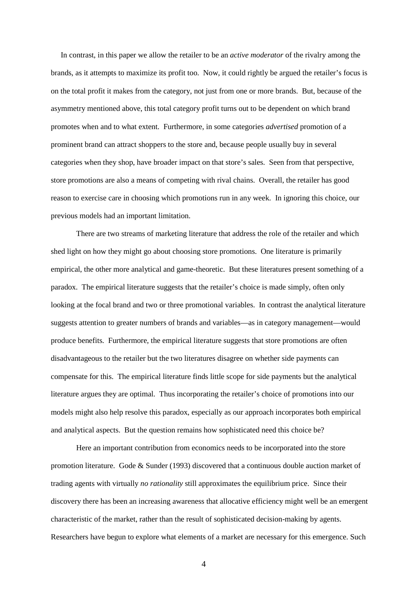In contrast, in this paper we allow the retailer to be an *active moderator* of the rivalry among the brands, as it attempts to maximize its profit too. Now, it could rightly be argued the retailer's focus is on the total profit it makes from the category, not just from one or more brands. But, because of the asymmetry mentioned above, this total category profit turns out to be dependent on which brand promotes when and to what extent. Furthermore, in some categories *advertised* promotion of a prominent brand can attract shoppers to the store and, because people usually buy in several categories when they shop, have broader impact on that store's sales. Seen from that perspective, store promotions are also a means of competing with rival chains. Overall, the retailer has good reason to exercise care in choosing which promotions run in any week. In ignoring this choice, our previous models had an important limitation.

There are two streams of marketing literature that address the role of the retailer and which shed light on how they might go about choosing store promotions. One literature is primarily empirical, the other more analytical and game-theoretic. But these literatures present something of a paradox. The empirical literature suggests that the retailer's choice is made simply, often only looking at the focal brand and two or three promotional variables. In contrast the analytical literature suggests attention to greater numbers of brands and variables—as in category management—would produce benefits. Furthermore, the empirical literature suggests that store promotions are often disadvantageous to the retailer but the two literatures disagree on whether side payments can compensate for this. The empirical literature finds little scope for side payments but the analytical literature argues they are optimal. Thus incorporating the retailer's choice of promotions into our models might also help resolve this paradox, especially as our approach incorporates both empirical and analytical aspects. But the question remains how sophisticated need this choice be?

Here an important contribution from economics needs to be incorporated into the store promotion literature. Gode & Sunder (1993) discovered that a continuous double auction market of trading agents with virtually *no rationality* still approximates the equilibrium price. Since their discovery there has been an increasing awareness that allocative efficiency might well be an emergent characteristic of the market, rather than the result of sophisticated decision-making by agents. Researchers have begun to explore what elements of a market are necessary for this emergence. Such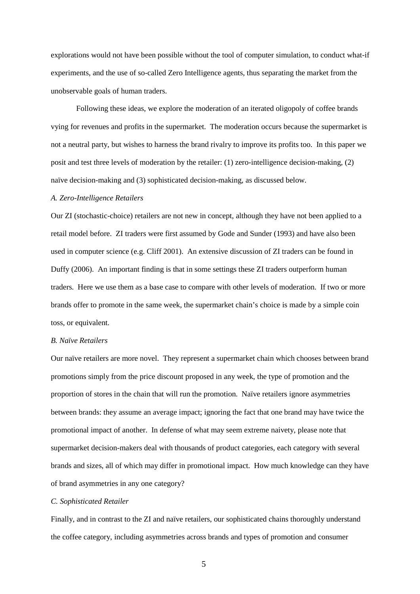explorations would not have been possible without the tool of computer simulation, to conduct what-if experiments, and the use of so-called Zero Intelligence agents, thus separating the market from the unobservable goals of human traders.

Following these ideas, we explore the moderation of an iterated oligopoly of coffee brands vying for revenues and profits in the supermarket. The moderation occurs because the supermarket is not a neutral party, but wishes to harness the brand rivalry to improve its profits too. In this paper we posit and test three levels of moderation by the retailer: (1) zero-intelligence decision-making, (2) naïve decision-making and (3) sophisticated decision-making, as discussed below.

#### *A. Zero-Intelligence Retailers*

Our ZI (stochastic-choice) retailers are not new in concept, although they have not been applied to a retail model before. ZI traders were first assumed by Gode and Sunder (1993) and have also been used in computer science (e.g. Cliff 2001). An extensive discussion of ZI traders can be found in Duffy (2006). An important finding is that in some settings these ZI traders outperform human traders. Here we use them as a base case to compare with other levels of moderation. If two or more brands offer to promote in the same week, the supermarket chain's choice is made by a simple coin toss, or equivalent.

#### *B. Naïve Retailers*

Our naïve retailers are more novel. They represent a supermarket chain which chooses between brand promotions simply from the price discount proposed in any week, the type of promotion and the proportion of stores in the chain that will run the promotion. Naïve retailers ignore asymmetries between brands: they assume an average impact; ignoring the fact that one brand may have twice the promotional impact of another. In defense of what may seem extreme naivety, please note that supermarket decision-makers deal with thousands of product categories, each category with several brands and sizes, all of which may differ in promotional impact. How much knowledge can they have of brand asymmetries in any one category?

#### *C. Sophisticated Retailer*

Finally, and in contrast to the ZI and naïve retailers, our sophisticated chains thoroughly understand the coffee category, including asymmetries across brands and types of promotion and consumer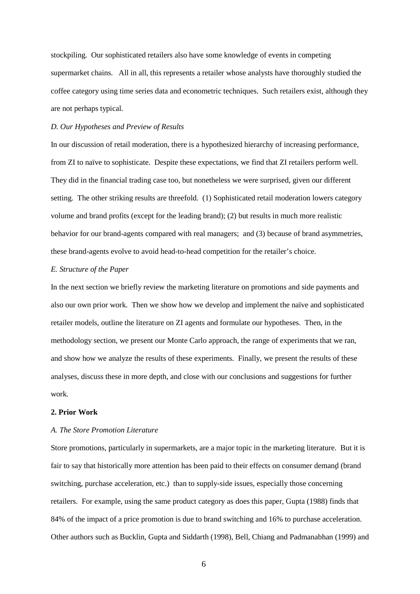stockpiling. Our sophisticated retailers also have some knowledge of events in competing supermarket chains. All in all, this represents a retailer whose analysts have thoroughly studied the coffee category using time series data and econometric techniques. Such retailers exist, although they are not perhaps typical.

#### *D. Our Hypotheses and Preview of Results*

In our discussion of retail moderation, there is a hypothesized hierarchy of increasing performance, from ZI to naïve to sophisticate. Despite these expectations, we find that ZI retailers perform well. They did in the financial trading case too, but nonetheless we were surprised, given our different setting. The other striking results are threefold. (1) Sophisticated retail moderation lowers category volume and brand profits (except for the leading brand); (2) but results in much more realistic behavior for our brand-agents compared with real managers; and (3) because of brand asymmetries, these brand-agents evolve to avoid head-to-head competition for the retailer's choice.

#### *E. Structure of the Paper*

In the next section we briefly review the marketing literature on promotions and side payments and also our own prior work. Then we show how we develop and implement the naïve and sophisticated retailer models, outline the literature on ZI agents and formulate our hypotheses. Then, in the methodology section, we present our Monte Carlo approach, the range of experiments that we ran, and show how we analyze the results of these experiments. Finally, we present the results of these analyses, discuss these in more depth, and close with our conclusions and suggestions for further work.

#### **2. Prior Work**

#### *A. The Store Promotion Literature*

Store promotions, particularly in supermarkets, are a major topic in the marketing literature. But it is fair to say that historically more attention has been paid to their effects on consumer demand (brand switching, purchase acceleration, etc.) than to supply-side issues, especially those concerning retailers. For example, using the same product category as does this paper, Gupta (1988) finds that 84% of the impact of a price promotion is due to brand switching and 16% to purchase acceleration. Other authors such as Bucklin, Gupta and Siddarth (1998), Bell, Chiang and Padmanabhan (1999) and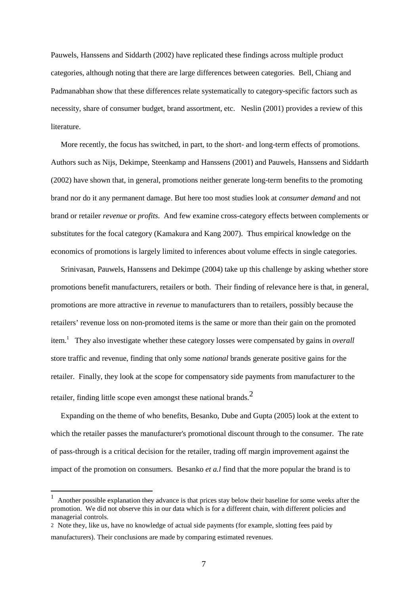Pauwels, Hanssens and Siddarth (2002) have replicated these findings across multiple product categories, although noting that there are large differences between categories. Bell, Chiang and Padmanabhan show that these differences relate systematically to category-specific factors such as necessity, share of consumer budget, brand assortment, etc. Neslin (2001) provides a review of this literature.

More recently, the focus has switched, in part, to the short- and long-term effects of promotions. Authors such as Nijs, Dekimpe, Steenkamp and Hanssens (2001) and Pauwels, Hanssens and Siddarth (2002) have shown that, in general, promotions neither generate long-term benefits to the promoting brand nor do it any permanent damage. But here too most studies look at *consumer demand* and not brand or retailer *revenue* or *profits*. And few examine cross-category effects between complements or substitutes for the focal category (Kamakura and Kang 2007). Thus empirical knowledge on the economics of promotions is largely limited to inferences about volume effects in single categories.

Srinivasan, Pauwels, Hanssens and Dekimpe (2004) take up this challenge by asking whether store promotions benefit manufacturers, retailers or both. Their finding of relevance here is that, in general, promotions are more attractive in *revenue* to manufacturers than to retailers, possibly because the retailers' revenue loss on non-promoted items is the same or more than their gain on the promoted item.<sup>1</sup> They also investigate whether these category losses were compensated by gains in *overall* store traffic and revenue, finding that only some *national* brands generate positive gains for the retailer. Finally, they look at the scope for compensatory side payments from manufacturer to the retailer, finding little scope even amongst these national brands. $2$ 

Expanding on the theme of who benefits, Besanko, Dube and Gupta (2005) look at the extent to which the retailer passes the manufacturer's promotional discount through to the consumer. The rate of pass-through is a critical decision for the retailer, trading off margin improvement against the impact of the promotion on consumers. Besanko *et a.l* find that the more popular the brand is to

 $\overline{a}$ 

<sup>1</sup> Another possible explanation they advance is that prices stay below their baseline for some weeks after the promotion. We did not observe this in our data which is for a different chain, with different policies and managerial controls.

<sup>2</sup> Note they, like us, have no knowledge of actual side payments (for example, slotting fees paid by manufacturers). Their conclusions are made by comparing estimated revenues.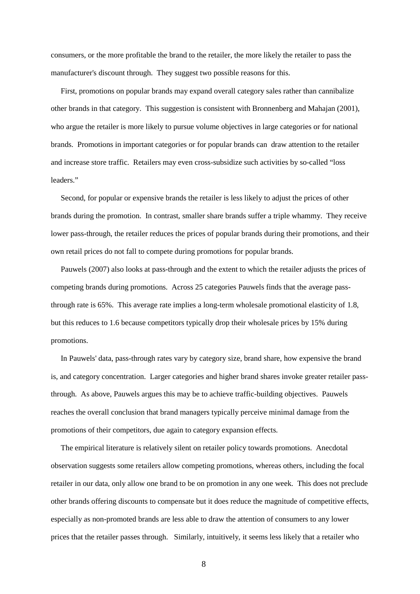consumers, or the more profitable the brand to the retailer, the more likely the retailer to pass the manufacturer's discount through. They suggest two possible reasons for this.

First, promotions on popular brands may expand overall category sales rather than cannibalize other brands in that category. This suggestion is consistent with Bronnenberg and Mahajan (2001), who argue the retailer is more likely to pursue volume objectives in large categories or for national brands. Promotions in important categories or for popular brands can draw attention to the retailer and increase store traffic. Retailers may even cross-subsidize such activities by so-called "loss leaders."

Second, for popular or expensive brands the retailer is less likely to adjust the prices of other brands during the promotion. In contrast, smaller share brands suffer a triple whammy. They receive lower pass-through, the retailer reduces the prices of popular brands during their promotions, and their own retail prices do not fall to compete during promotions for popular brands.

Pauwels (2007) also looks at pass-through and the extent to which the retailer adjusts the prices of competing brands during promotions. Across 25 categories Pauwels finds that the average passthrough rate is 65%. This average rate implies a long-term wholesale promotional elasticity of 1.8, but this reduces to 1.6 because competitors typically drop their wholesale prices by 15% during promotions.

In Pauwels' data, pass-through rates vary by category size, brand share, how expensive the brand is, and category concentration. Larger categories and higher brand shares invoke greater retailer passthrough. As above, Pauwels argues this may be to achieve traffic-building objectives. Pauwels reaches the overall conclusion that brand managers typically perceive minimal damage from the promotions of their competitors, due again to category expansion effects.

The empirical literature is relatively silent on retailer policy towards promotions. Anecdotal observation suggests some retailers allow competing promotions, whereas others, including the focal retailer in our data, only allow one brand to be on promotion in any one week. This does not preclude other brands offering discounts to compensate but it does reduce the magnitude of competitive effects, especially as non-promoted brands are less able to draw the attention of consumers to any lower prices that the retailer passes through. Similarly, intuitively, it seems less likely that a retailer who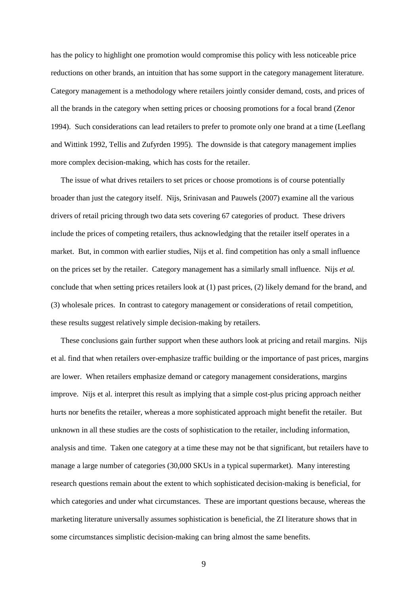has the policy to highlight one promotion would compromise this policy with less noticeable price reductions on other brands, an intuition that has some support in the category management literature. Category management is a methodology where retailers jointly consider demand, costs, and prices of all the brands in the category when setting prices or choosing promotions for a focal brand (Zenor 1994). Such considerations can lead retailers to prefer to promote only one brand at a time (Leeflang and Wittink 1992, Tellis and Zufyrden 1995). The downside is that category management implies more complex decision-making, which has costs for the retailer.

The issue of what drives retailers to set prices or choose promotions is of course potentially broader than just the category itself. Nijs, Srinivasan and Pauwels (2007) examine all the various drivers of retail pricing through two data sets covering 67 categories of product. These drivers include the prices of competing retailers, thus acknowledging that the retailer itself operates in a market. But, in common with earlier studies, Nijs et al. find competition has only a small influence on the prices set by the retailer. Category management has a similarly small influence. Nijs *et al.* conclude that when setting prices retailers look at (1) past prices, (2) likely demand for the brand, and (3) wholesale prices. In contrast to category management or considerations of retail competition, these results suggest relatively simple decision-making by retailers.

These conclusions gain further support when these authors look at pricing and retail margins. Nijs et al. find that when retailers over-emphasize traffic building or the importance of past prices, margins are lower. When retailers emphasize demand or category management considerations, margins improve. Nijs et al. interpret this result as implying that a simple cost-plus pricing approach neither hurts nor benefits the retailer, whereas a more sophisticated approach might benefit the retailer. But unknown in all these studies are the costs of sophistication to the retailer, including information, analysis and time. Taken one category at a time these may not be that significant, but retailers have to manage a large number of categories (30,000 SKUs in a typical supermarket). Many interesting research questions remain about the extent to which sophisticated decision-making is beneficial, for which categories and under what circumstances. These are important questions because, whereas the marketing literature universally assumes sophistication is beneficial, the ZI literature shows that in some circumstances simplistic decision-making can bring almost the same benefits.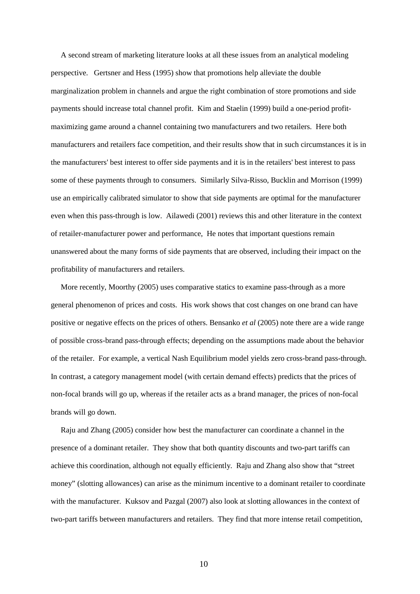A second stream of marketing literature looks at all these issues from an analytical modeling perspective. Gertsner and Hess (1995) show that promotions help alleviate the double marginalization problem in channels and argue the right combination of store promotions and side payments should increase total channel profit. Kim and Staelin (1999) build a one-period profitmaximizing game around a channel containing two manufacturers and two retailers. Here both manufacturers and retailers face competition, and their results show that in such circumstances it is in the manufacturers' best interest to offer side payments and it is in the retailers' best interest to pass some of these payments through to consumers. Similarly Silva-Risso, Bucklin and Morrison (1999) use an empirically calibrated simulator to show that side payments are optimal for the manufacturer even when this pass-through is low. Ailawedi (2001) reviews this and other literature in the context of retailer-manufacturer power and performance, He notes that important questions remain unanswered about the many forms of side payments that are observed, including their impact on the profitability of manufacturers and retailers.

More recently, Moorthy (2005) uses comparative statics to examine pass-through as a more general phenomenon of prices and costs. His work shows that cost changes on one brand can have positive or negative effects on the prices of others. Bensanko *et al* (2005) note there are a wide range of possible cross-brand pass-through effects; depending on the assumptions made about the behavior of the retailer. For example, a vertical Nash Equilibrium model yields zero cross-brand pass-through. In contrast, a category management model (with certain demand effects) predicts that the prices of non-focal brands will go up, whereas if the retailer acts as a brand manager, the prices of non-focal brands will go down.

Raju and Zhang (2005) consider how best the manufacturer can coordinate a channel in the presence of a dominant retailer. They show that both quantity discounts and two-part tariffs can achieve this coordination, although not equally efficiently. Raju and Zhang also show that "street money" (slotting allowances) can arise as the minimum incentive to a dominant retailer to coordinate with the manufacturer. Kuksov and Pazgal (2007) also look at slotting allowances in the context of two-part tariffs between manufacturers and retailers. They find that more intense retail competition,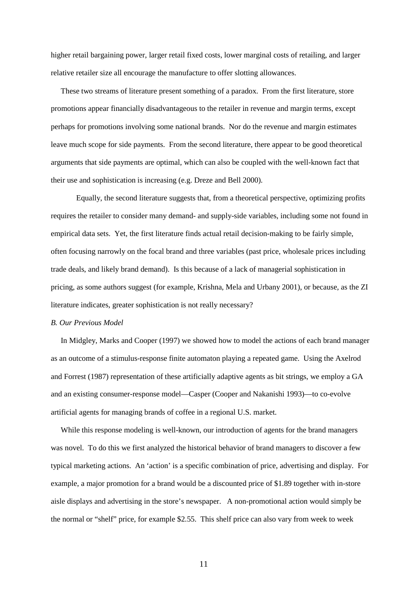higher retail bargaining power, larger retail fixed costs, lower marginal costs of retailing, and larger relative retailer size all encourage the manufacture to offer slotting allowances.

These two streams of literature present something of a paradox. From the first literature, store promotions appear financially disadvantageous to the retailer in revenue and margin terms, except perhaps for promotions involving some national brands. Nor do the revenue and margin estimates leave much scope for side payments. From the second literature, there appear to be good theoretical arguments that side payments are optimal, which can also be coupled with the well-known fact that their use and sophistication is increasing (e.g. Dreze and Bell 2000).

Equally, the second literature suggests that, from a theoretical perspective, optimizing profits requires the retailer to consider many demand- and supply-side variables, including some not found in empirical data sets. Yet, the first literature finds actual retail decision-making to be fairly simple, often focusing narrowly on the focal brand and three variables (past price, wholesale prices including trade deals, and likely brand demand). Is this because of a lack of managerial sophistication in pricing, as some authors suggest (for example, Krishna, Mela and Urbany 2001), or because, as the ZI literature indicates, greater sophistication is not really necessary?

#### *B. Our Previous Model*

In Midgley, Marks and Cooper (1997) we showed how to model the actions of each brand manager as an outcome of a stimulus-response finite automaton playing a repeated game. Using the Axelrod and Forrest (1987) representation of these artificially adaptive agents as bit strings, we employ a GA and an existing consumer-response model—Casper (Cooper and Nakanishi 1993)—to co-evolve artificial agents for managing brands of coffee in a regional U.S. market.

While this response modeling is well-known, our introduction of agents for the brand managers was novel. To do this we first analyzed the historical behavior of brand managers to discover a few typical marketing actions. An 'action' is a specific combination of price, advertising and display. For example, a major promotion for a brand would be a discounted price of \$1.89 together with in-store aisle displays and advertising in the store's newspaper. A non-promotional action would simply be the normal or "shelf" price, for example \$2.55. This shelf price can also vary from week to week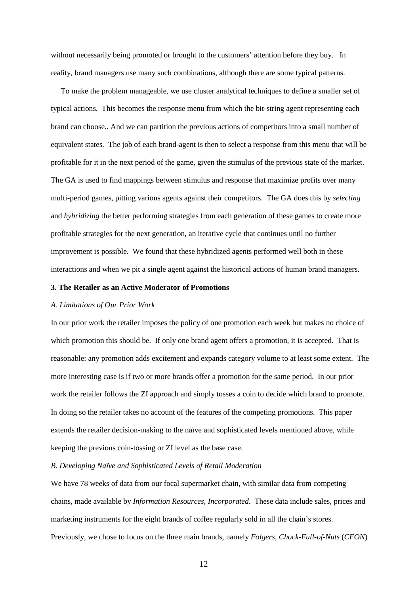without necessarily being promoted or brought to the customers' attention before they buy. In reality, brand managers use many such combinations, although there are some typical patterns.

To make the problem manageable, we use cluster analytical techniques to define a smaller set of typical actions. This becomes the response menu from which the bit-string agent representing each brand can choose.. And we can partition the previous actions of competitors into a small number of equivalent states. The job of each brand-agent is then to select a response from this menu that will be profitable for it in the next period of the game, given the stimulus of the previous state of the market. The GA is used to find mappings between stimulus and response that maximize profits over many multi-period games, pitting various agents against their competitors. The GA does this by *selecting* and *hybridizing* the better performing strategies from each generation of these games to create more profitable strategies for the next generation, an iterative cycle that continues until no further improvement is possible. We found that these hybridized agents performed well both in these interactions and when we pit a single agent against the historical actions of human brand managers.

#### **3. The Retailer as an Active Moderator of Promotions**

#### *A. Limitations of Our Prior Work*

In our prior work the retailer imposes the policy of one promotion each week but makes no choice of which promotion this should be. If only one brand agent offers a promotion, it is accepted. That is reasonable: any promotion adds excitement and expands category volume to at least some extent. The more interesting case is if two or more brands offer a promotion for the same period. In our prior work the retailer follows the ZI approach and simply tosses a coin to decide which brand to promote. In doing so the retailer takes no account of the features of the competing promotions. This paper extends the retailer decision-making to the naïve and sophisticated levels mentioned above, while keeping the previous coin-tossing or ZI level as the base case.

#### *B. Developing Naïve and Sophisticated Levels of Retail Moderation*

We have 78 weeks of data from our focal supermarket chain, with similar data from competing chains, made available by *Information Resources, Incorporated*. These data include sales, prices and marketing instruments for the eight brands of coffee regularly sold in all the chain's stores. Previously, we chose to focus on the three main brands, namely *Folgers*, *Chock-Full-of-Nuts* (*CFON*)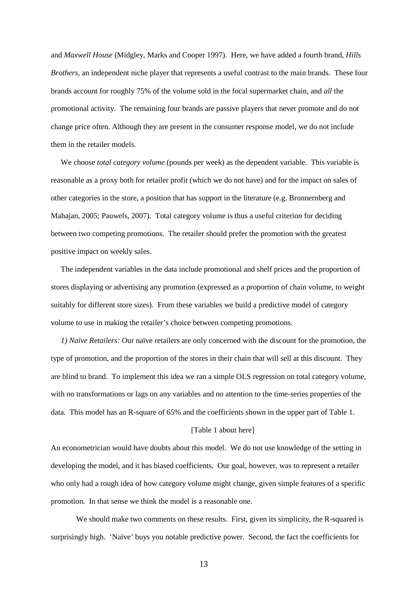and *Maxwell House* (Midgley, Marks and Cooper 1997). Here, we have added a fourth brand, *Hills Brothers,* an independent niche player that represents a useful contrast to the main brands. These four brands account for roughly 75% of the volume sold in the focal supermarket chain, and *all* the promotional activity. The remaining four brands are passive players that never promote and do not change price often. Although they are present in the consumer response model, we do not include them in the retailer models.

We choose *total category volume* (pounds per week) as the dependent variable. This variable is reasonable as a proxy both for retailer profit (which we do not have) and for the impact on sales of other categories in the store, a position that has support in the literature (e.g. Bronnernberg and Mahajan, 2005; Pauwels, 2007). Total category volume is thus a useful criterion for deciding between two competing promotions. The retailer should prefer the promotion with the greatest positive impact on weekly sales.

The independent variables in the data include promotional and shelf prices and the proportion of stores displaying or advertising any promotion (expressed as a proportion of chain volume, to weight suitably for different store sizes). From these variables we build a predictive model of category volume to use in making the retailer's choice between competing promotions.

*1) Naïve Retailers:* Our naïve retailers are only concerned with the discount for the promotion, the type of promotion, and the proportion of the stores in their chain that will sell at this discount. They are blind to brand. To implement this idea we ran a simple OLS regression on total category volume, with no transformations or lags on any variables and no attention to the time-series properties of the data. This model has an R-square of 65% and the coefficients shown in the upper part of Table 1.

#### [Table 1 about here]

An econometrician would have doubts about this model. We do not use knowledge of the setting in developing the model, and it has biased coefficients. Our goal, however, was to represent a retailer who only had a rough idea of how category volume might change, given simple features of a specific promotion. In that sense we think the model is a reasonable one.

We should make two comments on these results. First, given its simplicity, the R-squared is surprisingly high. 'Naïve' buys you notable predictive power. Second, the fact the coefficients for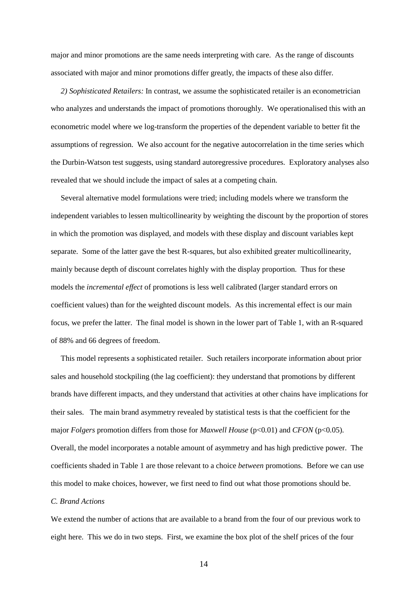major and minor promotions are the same needs interpreting with care. As the range of discounts associated with major and minor promotions differ greatly, the impacts of these also differ.

*2) Sophisticated Retailers:* In contrast, we assume the sophisticated retailer is an econometrician who analyzes and understands the impact of promotions thoroughly. We operationalised this with an econometric model where we log-transform the properties of the dependent variable to better fit the assumptions of regression. We also account for the negative autocorrelation in the time series which the Durbin-Watson test suggests, using standard autoregressive procedures. Exploratory analyses also revealed that we should include the impact of sales at a competing chain.

Several alternative model formulations were tried; including models where we transform the independent variables to lessen multicollinearity by weighting the discount by the proportion of stores in which the promotion was displayed, and models with these display and discount variables kept separate. Some of the latter gave the best R-squares, but also exhibited greater multicollinearity, mainly because depth of discount correlates highly with the display proportion. Thus for these models the *incremental effect* of promotions is less well calibrated (larger standard errors on coefficient values) than for the weighted discount models. As this incremental effect is our main focus, we prefer the latter. The final model is shown in the lower part of Table 1, with an R-squared of 88% and 66 degrees of freedom.

This model represents a sophisticated retailer. Such retailers incorporate information about prior sales and household stockpiling (the lag coefficient): they understand that promotions by different brands have different impacts, and they understand that activities at other chains have implications for their sales. The main brand asymmetry revealed by statistical tests is that the coefficient for the major *Folgers* promotion differs from those for *Maxwell House* (p<0.01) and *CFON* (p<0.05). Overall, the model incorporates a notable amount of asymmetry and has high predictive power. The coefficients shaded in Table 1 are those relevant to a choice *between* promotions. Before we can use this model to make choices, however, we first need to find out what those promotions should be.

#### *C. Brand Actions*

We extend the number of actions that are available to a brand from the four of our previous work to eight here. This we do in two steps. First, we examine the box plot of the shelf prices of the four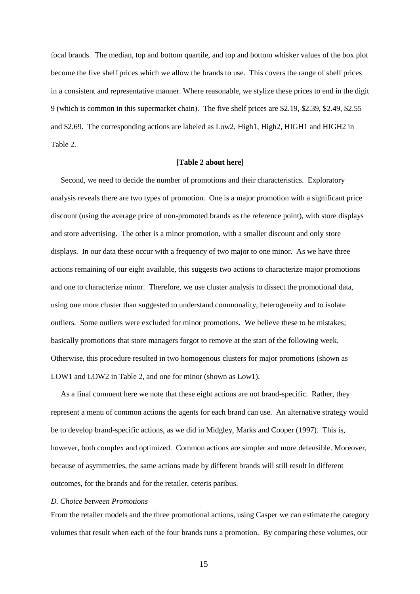focal brands. The median, top and bottom quartile, and top and bottom whisker values of the box plot become the five shelf prices which we allow the brands to use. This covers the range of shelf prices in a consistent and representative manner. Where reasonable, we stylize these prices to end in the digit 9 (which is common in this supermarket chain). The five shelf prices are \$2.19, \$2.39, \$2.49, \$2.55 and \$2.69. The corresponding actions are labeled as Low2, High1, High2, HIGH1 and HIGH2 in Table 2.

#### **[Table 2 about here]**

Second, we need to decide the number of promotions and their characteristics. Exploratory analysis reveals there are two types of promotion. One is a major promotion with a significant price discount (using the average price of non-promoted brands as the reference point), with store displays and store advertising. The other is a minor promotion, with a smaller discount and only store displays. In our data these occur with a frequency of two major to one minor. As we have three actions remaining of our eight available, this suggests two actions to characterize major promotions and one to characterize minor. Therefore, we use cluster analysis to dissect the promotional data, using one more cluster than suggested to understand commonality, heterogeneity and to isolate outliers. Some outliers were excluded for minor promotions. We believe these to be mistakes; basically promotions that store managers forgot to remove at the start of the following week. Otherwise, this procedure resulted in two homogenous clusters for major promotions (shown as LOW1 and LOW2 in Table 2, and one for minor (shown as Low1).

As a final comment here we note that these eight actions are not brand-specific. Rather, they represent a menu of common actions the agents for each brand can use. An alternative strategy would be to develop brand-specific actions, as we did in Midgley, Marks and Cooper (1997). This is, however, both complex and optimized. Common actions are simpler and more defensible. Moreover, because of asymmetries, the same actions made by different brands will still result in different outcomes, for the brands and for the retailer, ceteris paribus.

#### *D. Choice between Promotions*

From the retailer models and the three promotional actions, using Casper we can estimate the category volumes that result when each of the four brands runs a promotion. By comparing these volumes, our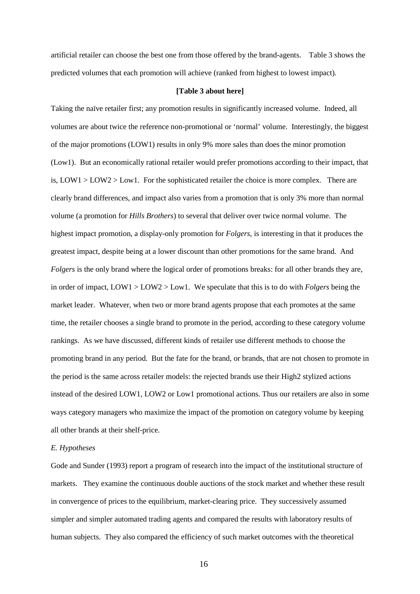artificial retailer can choose the best one from those offered by the brand-agents. Table 3 shows the predicted volumes that each promotion will achieve (ranked from highest to lowest impact).

#### **[Table 3 about here]**

Taking the naïve retailer first; any promotion results in significantly increased volume. Indeed, all volumes are about twice the reference non-promotional or 'normal' volume. Interestingly, the biggest of the major promotions (LOW1) results in only 9% more sales than does the minor promotion (Low1). But an economically rational retailer would prefer promotions according to their impact, that is,  $LOW1 > LOW2 > Low1$ . For the sophisticated retailer the choice is more complex. There are clearly brand differences, and impact also varies from a promotion that is only 3% more than normal volume (a promotion for *Hills Brothers*) to several that deliver over twice normal volume. The highest impact promotion, a display-only promotion for *Folgers*, is interesting in that it produces the greatest impact, despite being at a lower discount than other promotions for the same brand. And *Folgers* is the only brand where the logical order of promotions breaks: for all other brands they are, in order of impact, LOW1 > LOW2 > Low1. We speculate that this is to do with *Folgers* being the market leader. Whatever, when two or more brand agents propose that each promotes at the same time, the retailer chooses a single brand to promote in the period, according to these category volume rankings. As we have discussed, different kinds of retailer use different methods to choose the promoting brand in any period. But the fate for the brand, or brands, that are not chosen to promote in the period is the same across retailer models: the rejected brands use their High2 stylized actions instead of the desired LOW1, LOW2 or Low1 promotional actions. Thus our retailers are also in some ways category managers who maximize the impact of the promotion on category volume by keeping all other brands at their shelf-price.

#### *E. Hypotheses*

Gode and Sunder (1993) report a program of research into the impact of the institutional structure of markets. They examine the continuous double auctions of the stock market and whether these result in convergence of prices to the equilibrium, market-clearing price. They successively assumed simpler and simpler automated trading agents and compared the results with laboratory results of human subjects. They also compared the efficiency of such market outcomes with the theoretical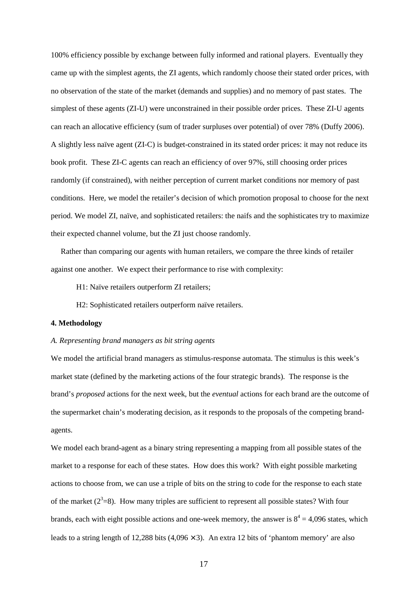100% efficiency possible by exchange between fully informed and rational players. Eventually they came up with the simplest agents, the ZI agents, which randomly choose their stated order prices, with no observation of the state of the market (demands and supplies) and no memory of past states. The simplest of these agents (ZI-U) were unconstrained in their possible order prices. These ZI-U agents can reach an allocative efficiency (sum of trader surpluses over potential) of over 78% (Duffy 2006). A slightly less naïve agent (ZI-C) is budget-constrained in its stated order prices: it may not reduce its book profit. These ZI-C agents can reach an efficiency of over 97%, still choosing order prices randomly (if constrained), with neither perception of current market conditions nor memory of past conditions. Here, we model the retailer's decision of which promotion proposal to choose for the next period. We model ZI, naïve, and sophisticated retailers: the naifs and the sophisticates try to maximize their expected channel volume, but the ZI just choose randomly.

Rather than comparing our agents with human retailers, we compare the three kinds of retailer against one another. We expect their performance to rise with complexity:

- H1: Naïve retailers outperform ZI retailers;
- H2: Sophisticated retailers outperform naïve retailers.

## **4. Methodology**

#### *A. Representing brand managers as bit string agents*

We model the artificial brand managers as stimulus-response automata. The stimulus is this week's market state (defined by the marketing actions of the four strategic brands). The response is the brand's *proposed* actions for the next week, but the *eventual* actions for each brand are the outcome of the supermarket chain's moderating decision, as it responds to the proposals of the competing brandagents.

We model each brand-agent as a binary string representing a mapping from all possible states of the market to a response for each of these states. How does this work? With eight possible marketing actions to choose from, we can use a triple of bits on the string to code for the response to each state of the market  $(2^3=8)$ . How many triples are sufficient to represent all possible states? With four brands, each with eight possible actions and one-week memory, the answer is  $8^4 = 4,096$  states, which leads to a string length of 12,288 bits  $(4.096 \times 3)$ . An extra 12 bits of 'phantom memory' are also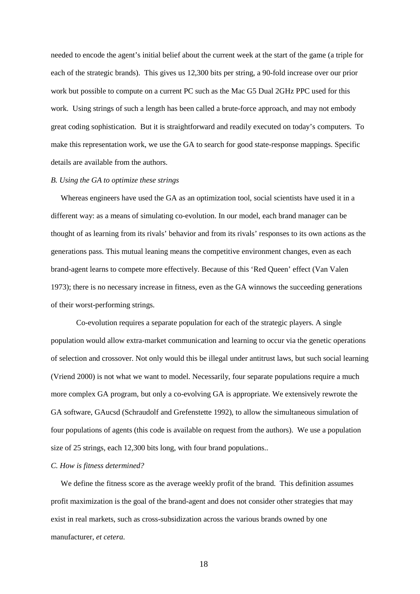needed to encode the agent's initial belief about the current week at the start of the game (a triple for each of the strategic brands). This gives us 12,300 bits per string, a 90-fold increase over our prior work but possible to compute on a current PC such as the Mac G5 Dual 2GHz PPC used for this work. Using strings of such a length has been called a brute-force approach, and may not embody great coding sophistication. But it is straightforward and readily executed on today's computers. To make this representation work, we use the GA to search for good state-response mappings. Specific details are available from the authors.

#### *B. Using the GA to optimize these strings*

Whereas engineers have used the GA as an optimization tool, social scientists have used it in a different way: as a means of simulating co-evolution. In our model, each brand manager can be thought of as learning from its rivals' behavior and from its rivals' responses to its own actions as the generations pass. This mutual leaning means the competitive environment changes, even as each brand-agent learns to compete more effectively. Because of this 'Red Queen' effect (Van Valen 1973); there is no necessary increase in fitness, even as the GA winnows the succeeding generations of their worst-performing strings.

Co-evolution requires a separate population for each of the strategic players. A single population would allow extra-market communication and learning to occur via the genetic operations of selection and crossover. Not only would this be illegal under antitrust laws, but such social learning (Vriend 2000) is not what we want to model. Necessarily, four separate populations require a much more complex GA program, but only a co-evolving GA is appropriate. We extensively rewrote the GA software, GAucsd (Schraudolf and Grefenstette 1992), to allow the simultaneous simulation of four populations of agents (this code is available on request from the authors). We use a population size of 25 strings, each 12,300 bits long, with four brand populations..

#### *C. How is fitness determined?*

We define the fitness score as the average weekly profit of the brand. This definition assumes profit maximization is the goal of the brand-agent and does not consider other strategies that may exist in real markets, such as cross-subsidization across the various brands owned by one manufacturer, *et cetera*.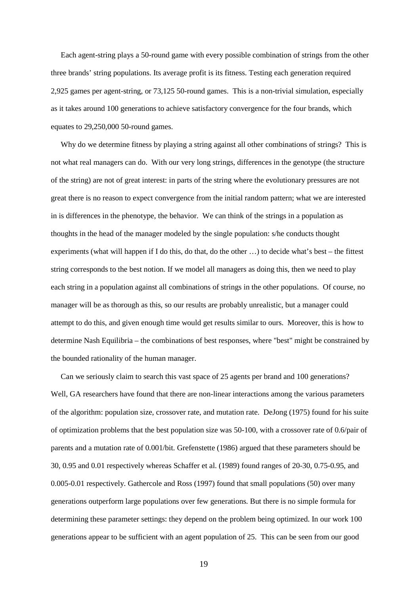Each agent-string plays a 50-round game with every possible combination of strings from the other three brands' string populations. Its average profit is its fitness. Testing each generation required 2,925 games per agent-string, or 73,125 50-round games. This is a non-trivial simulation, especially as it takes around 100 generations to achieve satisfactory convergence for the four brands, which equates to 29,250,000 50-round games.

Why do we determine fitness by playing a string against all other combinations of strings? This is not what real managers can do. With our very long strings, differences in the genotype (the structure of the string) are not of great interest: in parts of the string where the evolutionary pressures are not great there is no reason to expect convergence from the initial random pattern; what we are interested in is differences in the phenotype, the behavior. We can think of the strings in a population as thoughts in the head of the manager modeled by the single population: s/he conducts thought experiments (what will happen if I do this, do that, do the other …) to decide what's best – the fittest string corresponds to the best notion. If we model all managers as doing this, then we need to play each string in a population against all combinations of strings in the other populations. Of course, no manager will be as thorough as this, so our results are probably unrealistic, but a manager could attempt to do this, and given enough time would get results similar to ours. Moreover, this is how to determine Nash Equilibria – the combinations of best responses, where "best" might be constrained by the bounded rationality of the human manager.

Can we seriously claim to search this vast space of 25 agents per brand and 100 generations? Well, GA researchers have found that there are non-linear interactions among the various parameters of the algorithm: population size, crossover rate, and mutation rate. DeJong (1975) found for his suite of optimization problems that the best population size was 50-100, with a crossover rate of 0.6/pair of parents and a mutation rate of 0.001/bit. Grefenstette (1986) argued that these parameters should be 30, 0.95 and 0.01 respectively whereas Schaffer et al. (1989) found ranges of 20-30, 0.75-0.95, and 0.005-0.01 respectively. Gathercole and Ross (1997) found that small populations (50) over many generations outperform large populations over few generations. But there is no simple formula for determining these parameter settings: they depend on the problem being optimized. In our work 100 generations appear to be sufficient with an agent population of 25. This can be seen from our good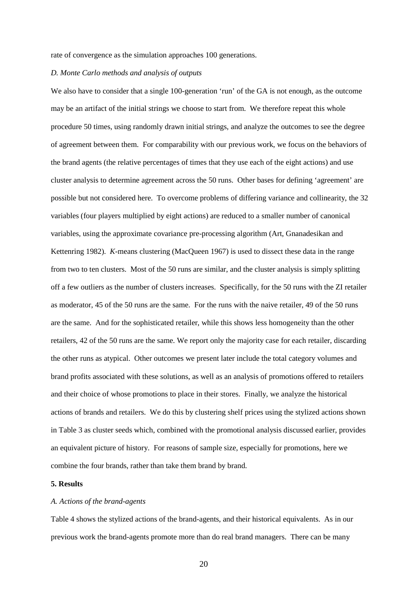rate of convergence as the simulation approaches 100 generations.

#### *D. Monte Carlo methods and analysis of outputs*

We also have to consider that a single 100-generation 'run' of the GA is not enough, as the outcome may be an artifact of the initial strings we choose to start from. We therefore repeat this whole procedure 50 times, using randomly drawn initial strings, and analyze the outcomes to see the degree of agreement between them. For comparability with our previous work, we focus on the behaviors of the brand agents (the relative percentages of times that they use each of the eight actions) and use cluster analysis to determine agreement across the 50 runs. Other bases for defining 'agreement' are possible but not considered here. To overcome problems of differing variance and collinearity, the 32 variables (four players multiplied by eight actions) are reduced to a smaller number of canonical variables, using the approximate covariance pre-processing algorithm (Art, Gnanadesikan and Kettenring 1982). *K-*means clustering (MacQueen 1967) is used to dissect these data in the range from two to ten clusters. Most of the 50 runs are similar, and the cluster analysis is simply splitting off a few outliers as the number of clusters increases. Specifically, for the 50 runs with the ZI retailer as moderator, 45 of the 50 runs are the same. For the runs with the naive retailer, 49 of the 50 runs are the same. And for the sophisticated retailer, while this shows less homogeneity than the other retailers, 42 of the 50 runs are the same. We report only the majority case for each retailer, discarding the other runs as atypical. Other outcomes we present later include the total category volumes and brand profits associated with these solutions, as well as an analysis of promotions offered to retailers and their choice of whose promotions to place in their stores. Finally, we analyze the historical actions of brands and retailers. We do this by clustering shelf prices using the stylized actions shown in Table 3 as cluster seeds which, combined with the promotional analysis discussed earlier, provides an equivalent picture of history. For reasons of sample size, especially for promotions, here we combine the four brands, rather than take them brand by brand.

### **5. Results**

#### *A. Actions of the brand-agents*

Table 4 shows the stylized actions of the brand-agents, and their historical equivalents. As in our previous work the brand-agents promote more than do real brand managers. There can be many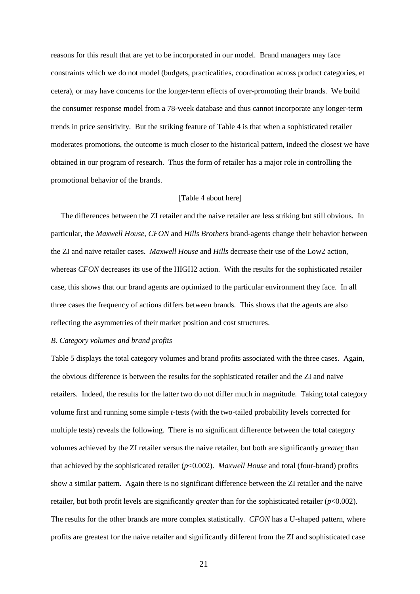reasons for this result that are yet to be incorporated in our model. Brand managers may face constraints which we do not model (budgets, practicalities, coordination across product categories, et cetera), or may have concerns for the longer-term effects of over-promoting their brands. We build the consumer response model from a 78-week database and thus cannot incorporate any longer-term trends in price sensitivity. But the striking feature of Table 4 is that when a sophisticated retailer moderates promotions, the outcome is much closer to the historical pattern, indeed the closest we have obtained in our program of research. Thus the form of retailer has a major role in controlling the promotional behavior of the brands.

#### [Table 4 about here]

The differences between the ZI retailer and the naive retailer are less striking but still obvious. In particular, the *Maxwell House*, *CFON* and *Hills Brothers* brand-agents change their behavior between the ZI and naive retailer cases. *Maxwell House* and *Hills* decrease their use of the Low2 action, whereas *CFON* decreases its use of the HIGH2 action. With the results for the sophisticated retailer case, this shows that our brand agents are optimized to the particular environment they face. In all three cases the frequency of actions differs between brands. This shows that the agents are also reflecting the asymmetries of their market position and cost structures.

#### *B. Category volumes and brand profits*

Table 5 displays the total category volumes and brand profits associated with the three cases. Again, the obvious difference is between the results for the sophisticated retailer and the ZI and naive retailers. Indeed, the results for the latter two do not differ much in magnitude. Taking total category volume first and running some simple *t*-tests (with the two-tailed probability levels corrected for multiple tests) reveals the following. There is no significant difference between the total category volumes achieved by the ZI retailer versus the naive retailer, but both are significantly *greater* than that achieved by the sophisticated retailer (*p*<0.002). *Maxwell House* and total (four-brand) profits show a similar pattern. Again there is no significant difference between the ZI retailer and the naive retailer, but both profit levels are significantly *greater* than for the sophisticated retailer (*p*<0.002). The results for the other brands are more complex statistically. *CFON* has a U-shaped pattern, where profits are greatest for the naive retailer and significantly different from the ZI and sophisticated case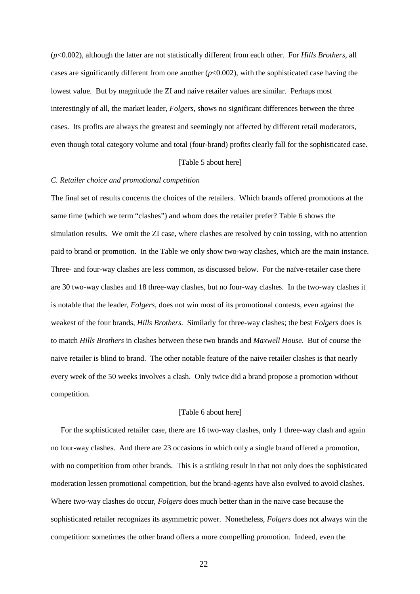(*p*<0.002), although the latter are not statistically different from each other. For *Hills Brothers*, all cases are significantly different from one another  $(p<0.002)$ , with the sophisticated case having the lowest value. But by magnitude the ZI and naive retailer values are similar. Perhaps most interestingly of all, the market leader, *Folgers*, shows no significant differences between the three cases. Its profits are always the greatest and seemingly not affected by different retail moderators, even though total category volume and total (four-brand) profits clearly fall for the sophisticated case.

#### [Table 5 about here]

#### *C. Retailer choice and promotional competition*

The final set of results concerns the choices of the retailers. Which brands offered promotions at the same time (which we term "clashes") and whom does the retailer prefer? Table 6 shows the simulation results. We omit the ZI case, where clashes are resolved by coin tossing, with no attention paid to brand or promotion. In the Table we only show two-way clashes, which are the main instance. Three- and four-way clashes are less common, as discussed below. For the naïve-retailer case there are 30 two-way clashes and 18 three-way clashes, but no four-way clashes. In the two-way clashes it is notable that the leader, *Folgers*, does not win most of its promotional contests, even against the weakest of the four brands, *Hills Brothers*. Similarly for three-way clashes; the best *Folgers* does is to match *Hills Brothers* in clashes between these two brands and *Maxwell House*. But of course the naive retailer is blind to brand. The other notable feature of the naive retailer clashes is that nearly every week of the 50 weeks involves a clash. Only twice did a brand propose a promotion without competition.

#### [Table 6 about here]

For the sophisticated retailer case, there are 16 two-way clashes, only 1 three-way clash and again no four-way clashes. And there are 23 occasions in which only a single brand offered a promotion, with no competition from other brands. This is a striking result in that not only does the sophisticated moderation lessen promotional competition, but the brand-agents have also evolved to avoid clashes. Where two-way clashes do occur, *Folgers* does much better than in the naive case because the sophisticated retailer recognizes its asymmetric power. Nonetheless, *Folgers* does not always win the competition: sometimes the other brand offers a more compelling promotion. Indeed, even the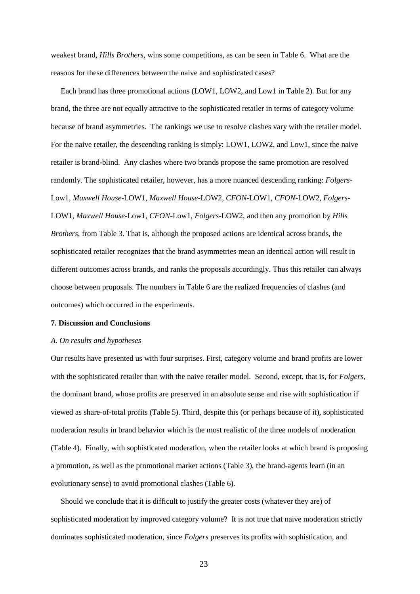weakest brand, *Hills Brothers*, wins some competitions, as can be seen in Table 6. What are the reasons for these differences between the naive and sophisticated cases?

Each brand has three promotional actions (LOW1, LOW2, and Low1 in Table 2). But for any brand, the three are not equally attractive to the sophisticated retailer in terms of category volume because of brand asymmetries. The rankings we use to resolve clashes vary with the retailer model. For the naive retailer, the descending ranking is simply: LOW1, LOW2, and Low1, since the naive retailer is brand-blind. Any clashes where two brands propose the same promotion are resolved randomly. The sophisticated retailer, however, has a more nuanced descending ranking: *Folgers*-Low1, *Maxwell House*-LOW1, *Maxwell House*-LOW2, *CFON*-LOW1, *CFON*-LOW2, *Folgers*-LOW1, *Maxwell House*-Low1, *CFON*-Low1, *Folgers*-LOW2, and then any promotion by *Hills Brothers*, from Table 3. That is, although the proposed actions are identical across brands, the sophisticated retailer recognizes that the brand asymmetries mean an identical action will result in different outcomes across brands, and ranks the proposals accordingly. Thus this retailer can always choose between proposals. The numbers in Table 6 are the realized frequencies of clashes (and outcomes) which occurred in the experiments.

#### **7. Discussion and Conclusions**

#### *A. On results and hypotheses*

Our results have presented us with four surprises. First, category volume and brand profits are lower with the sophisticated retailer than with the naive retailer model. Second, except, that is, for *Folgers*, the dominant brand, whose profits are preserved in an absolute sense and rise with sophistication if viewed as share-of-total profits (Table 5). Third, despite this (or perhaps because of it), sophisticated moderation results in brand behavior which is the most realistic of the three models of moderation (Table 4). Finally, with sophisticated moderation, when the retailer looks at which brand is proposing a promotion, as well as the promotional market actions (Table 3), the brand-agents learn (in an evolutionary sense) to avoid promotional clashes (Table 6).

Should we conclude that it is difficult to justify the greater costs (whatever they are) of sophisticated moderation by improved category volume? It is not true that naive moderation strictly dominates sophisticated moderation, since *Folgers* preserves its profits with sophistication, and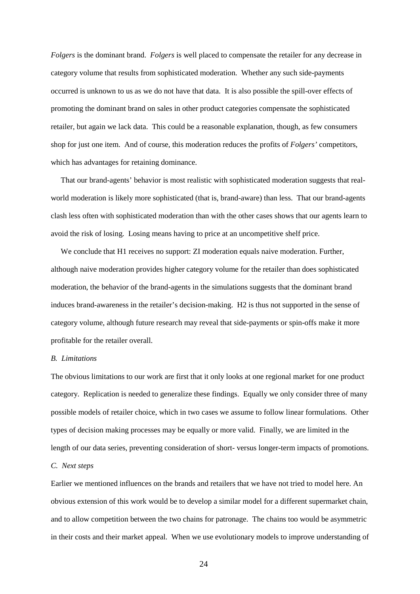*Folgers* is the dominant brand. *Folgers* is well placed to compensate the retailer for any decrease in category volume that results from sophisticated moderation. Whether any such side-payments occurred is unknown to us as we do not have that data. It is also possible the spill-over effects of promoting the dominant brand on sales in other product categories compensate the sophisticated retailer, but again we lack data. This could be a reasonable explanation, though, as few consumers shop for just one item. And of course, this moderation reduces the profits of *Folgers'* competitors, which has advantages for retaining dominance.

That our brand-agents' behavior is most realistic with sophisticated moderation suggests that realworld moderation is likely more sophisticated (that is, brand-aware) than less. That our brand-agents clash less often with sophisticated moderation than with the other cases shows that our agents learn to avoid the risk of losing. Losing means having to price at an uncompetitive shelf price.

We conclude that H1 receives no support: ZI moderation equals naive moderation. Further, although naive moderation provides higher category volume for the retailer than does sophisticated moderation, the behavior of the brand-agents in the simulations suggests that the dominant brand induces brand-awareness in the retailer's decision-making. H2 is thus not supported in the sense of category volume, although future research may reveal that side-payments or spin-offs make it more profitable for the retailer overall.

#### *B. Limitations*

The obvious limitations to our work are first that it only looks at one regional market for one product category. Replication is needed to generalize these findings. Equally we only consider three of many possible models of retailer choice, which in two cases we assume to follow linear formulations. Other types of decision making processes may be equally or more valid. Finally, we are limited in the length of our data series, preventing consideration of short- versus longer-term impacts of promotions.

#### *C. Next steps*

Earlier we mentioned influences on the brands and retailers that we have not tried to model here. An obvious extension of this work would be to develop a similar model for a different supermarket chain, and to allow competition between the two chains for patronage. The chains too would be asymmetric in their costs and their market appeal. When we use evolutionary models to improve understanding of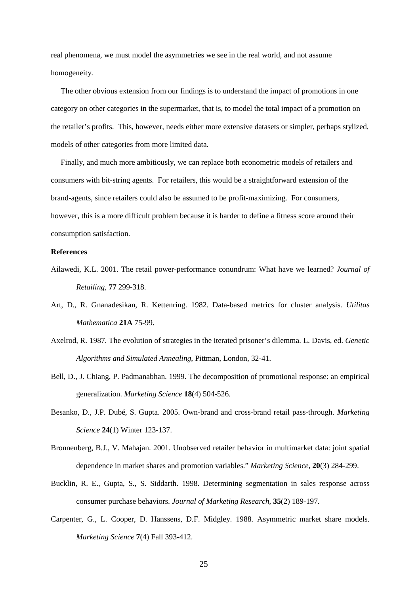real phenomena, we must model the asymmetries we see in the real world, and not assume homogeneity.

The other obvious extension from our findings is to understand the impact of promotions in one category on other categories in the supermarket, that is, to model the total impact of a promotion on the retailer's profits. This, however, needs either more extensive datasets or simpler, perhaps stylized, models of other categories from more limited data.

Finally, and much more ambitiously, we can replace both econometric models of retailers and consumers with bit-string agents. For retailers, this would be a straightforward extension of the brand-agents, since retailers could also be assumed to be profit-maximizing. For consumers, however, this is a more difficult problem because it is harder to define a fitness score around their consumption satisfaction.

#### **References**

- Ailawedi, K.L. 2001. The retail power-performance conundrum: What have we learned? *Journal of Retailing,* **77** 299-318.
- Art, D., R. Gnanadesikan, R. Kettenring. 1982. Data-based metrics for cluster analysis. *Utilitas Mathematica* **21A** 75-99.
- Axelrod, R. 1987. The evolution of strategies in the iterated prisoner's dilemma. L. Davis, ed. *Genetic Algorithms and Simulated Annealing*, Pittman, London, 32-41.
- Bell, D., J. Chiang, P. Padmanabhan. 1999. The decomposition of promotional response: an empirical generalization. *Marketing Science* **18**(4) 504-526.
- Besanko, D., J.P. Dubé, S. Gupta. 2005. Own-brand and cross-brand retail pass-through. *Marketing Science* **24**(1) Winter 123-137.
- Bronnenberg, B.J., V. Mahajan. 2001. Unobserved retailer behavior in multimarket data: joint spatial dependence in market shares and promotion variables." *Marketing Science,* **20**(3) 284-299.
- Bucklin, R. E., Gupta, S., S. Siddarth. 1998. Determining segmentation in sales response across consumer purchase behaviors. *Journal of Marketing Research,* **35**(2) 189-197.
- Carpenter, G., L. Cooper, D. Hanssens, D.F. Midgley. 1988. Asymmetric market share models. *Marketing Science* **7**(4) Fall 393-412.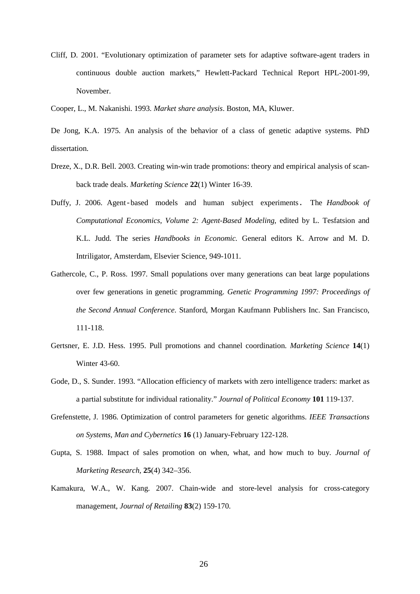- Cliff, D. 2001. "Evolutionary optimization of parameter sets for adaptive software-agent traders in continuous double auction markets," Hewlett-Packard Technical Report HPL-2001-99, November.
- Cooper, L., M. Nakanishi. 1993. *Market share analysis*. Boston, MA, Kluwer.
- De Jong, K.A. 1975. An analysis of the behavior of a class of genetic adaptive systems. PhD dissertation.
- Dreze, X., D.R. Bell. 2003. Creating win-win trade promotions: theory and empirical analysis of scanback trade deals. *Marketing Science* **22**(1) Winter 16-39.
- Duffy, J. 2006. Agent-based models and human subject experiments. The *Handbook of Computational Economics, Volume 2: Agent-Based Modeling*, edited by L. Tesfatsion and K.L. Judd. The series *Handbooks in Economic.* General editors K. Arrow and M. D. Intriligator, Amsterdam, Elsevier Science, 949-1011.
- Gathercole, C., P. Ross. 1997. Small populations over many generations can beat large populations over few generations in genetic programming. *Genetic Programming 1997: Proceedings of the Second Annual Conference*. Stanford, Morgan Kaufmann Publishers Inc. San Francisco, 111-118.
- Gertsner, E. J.D. Hess. 1995. Pull promotions and channel coordination. *Marketing Science* **14**(1) Winter 43-60.
- Gode, D., S. Sunder. 1993. "Allocation efficiency of markets with zero intelligence traders: market as a partial substitute for individual rationality." *Journal of Political Economy* **101** 119-137.
- Grefenstette, J. 1986. Optimization of control parameters for genetic algorithms. *IEEE Transactions on Systems, Man and Cybernetics* **16** (1) January-February 122-128.
- Gupta, S. 1988. Impact of sales promotion on when, what, and how much to buy. *Journal of Marketing Research,* **25**(4) 342–356.
- Kamakura, W.A., W. Kang. 2007. Chain-wide and store-level analysis for cross-category management, *Journal of Retailing* **83**(2) 159-170.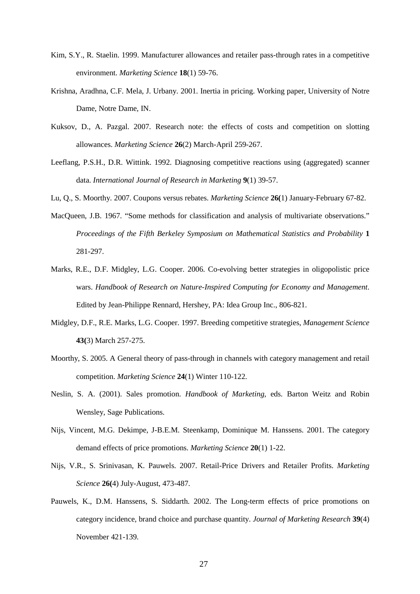- Kim, S.Y., R. Staelin. 1999. Manufacturer allowances and retailer pass-through rates in a competitive environment. *Marketing Science* **18**(1) 59-76.
- Krishna, Aradhna, C.F. Mela, J. Urbany. 2001. Inertia in pricing. Working paper, University of Notre Dame, Notre Dame, IN.
- Kuksov, D., A. Pazgal. 2007. Research note: the effects of costs and competition on slotting allowances. *Marketing Science* **26**(2) March-April 259-267.
- Leeflang, P.S.H., D.R. Wittink. 1992. Diagnosing competitive reactions using (aggregated) scanner data. *International Journal of Research in Marketing* **9**(1) 39-57.
- Lu, Q., S. Moorthy. 2007. Coupons versus rebates. *Marketing Science* **26(**1) January-February 67-82.
- MacQueen, J.B. 1967. "Some methods for classification and analysis of multivariate observations." *Proceedings of the Fifth Berkeley Symposium on Mathematical Statistics and Probability* **1** 281-297.
- Marks, R.E., D.F. Midgley, L.G. Cooper. 2006. Co-evolving better strategies in oligopolistic price wars. *Handbook of Research on Nature-Inspired Computing for Economy and Management*. Edited by Jean-Philippe Rennard, Hershey, PA: Idea Group Inc., 806-821.
- Midgley, D.F., R.E. Marks, L.G. Cooper. 1997. Breeding competitive strategies, *Management Science* **43(**3) March 257-275.
- Moorthy, S. 2005. A General theory of pass-through in channels with category management and retail competition. *Marketing Science* **24**(1) Winter 110-122.
- Neslin, S. A. (2001). Sales promotion. *Handbook of Marketing,* eds. Barton Weitz and Robin Wensley, Sage Publications.
- Nijs, Vincent, M.G. Dekimpe, J-B.E.M. Steenkamp, Dominique M. Hanssens. 2001. The category demand effects of price promotions. *Marketing Science* **20**(1) 1-22.
- Nijs, V.R., S. Srinivasan, K. Pauwels. 2007. Retail-Price Drivers and Retailer Profits. *Marketing Science* **26(**4) July-August, 473-487.
- Pauwels, K., D.M. Hanssens, S. Siddarth. 2002. The Long-term effects of price promotions on category incidence, brand choice and purchase quantity. *Journal of Marketing Research* **39**(4) November 421-139.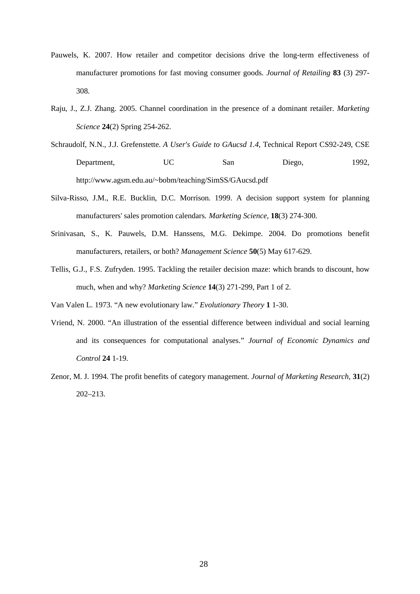- Pauwels, K. 2007. How retailer and competitor decisions drive the long-term effectiveness of manufacturer promotions for fast moving consumer goods. *Journal of Retailing* **83** (3) 297- 308.
- Raju, J., Z.J. Zhang. 2005. Channel coordination in the presence of a dominant retailer. *Marketing Science* **24**(2) Spring 254-262.
- Schraudolf, N.N., J.J. Grefenstette. *A User's Guide to GAucsd 1.4*, Technical Report CS92-249, CSE Department, UC San Diego, 1992, http://www.agsm.edu.au/~bobm/teaching/SimSS/GAucsd.pdf
- Silva-Risso, J.M., R.E. Bucklin, D.C. Morrison. 1999. A decision support system for planning manufacturers' sales promotion calendars. *Marketing Science,* **18**(3) 274-300.
- Srinivasan, S., K. Pauwels, D.M. Hanssens, M.G. Dekimpe. 2004. Do promotions benefit manufacturers, retailers, or both? *Management Science* **50**(5) May 617-629.
- Tellis, G.J., F.S. Zufryden. 1995. Tackling the retailer decision maze: which brands to discount, how much, when and why? *Marketing Science* **14**(3) 271-299, Part 1 of 2.
- Van Valen L. 1973. "A new evolutionary law." *Evolutionary Theory* **1** 1-30.
- Vriend, N. 2000. "An illustration of the essential difference between individual and social learning and its consequences for computational analyses." *Journal of Economic Dynamics and Control* **24** 1-19.
- Zenor, M. J. 1994. The profit benefits of category management. *Journal of Marketing Research,* **31**(2) 202–213.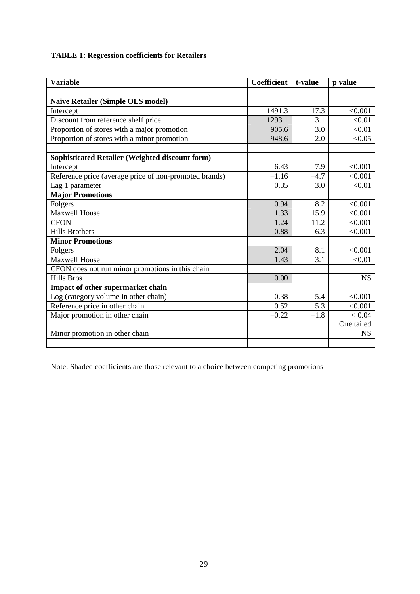# **TABLE 1: Regression coefficients for Retailers**

| <b>Variable</b>                                        | <b>Coefficient</b> | t-value | p value    |
|--------------------------------------------------------|--------------------|---------|------------|
|                                                        |                    |         |            |
| Naïve Retailer (Simple OLS model)                      |                    |         |            |
| Intercept                                              | 1491.3             | 17.3    | < 0.001    |
| Discount from reference shelf price                    | 1293.1             | 3.1     | < 0.01     |
| Proportion of stores with a major promotion            | 905.6              | 3.0     | < 0.01     |
| Proportion of stores with a minor promotion            | 948.6              | 2.0     | < 0.05     |
|                                                        |                    |         |            |
| Sophisticated Retailer (Weighted discount form)        |                    |         |            |
| Intercept                                              | 6.43               | 7.9     | < 0.001    |
| Reference price (average price of non-promoted brands) | $-1.16$            | $-4.7$  | < 0.001    |
| Lag 1 parameter                                        | 0.35               | 3.0     | < 0.01     |
| <b>Major Promotions</b>                                |                    |         |            |
| Folgers                                                | 0.94               | 8.2     | < 0.001    |
| <b>Maxwell House</b>                                   | 1.33               | 15.9    | < 0.001    |
| <b>CFON</b>                                            | 1.24               | 11.2    | < 0.001    |
| <b>Hills Brothers</b>                                  | 0.88               | 6.3     | < 0.001    |
| <b>Minor Promotions</b>                                |                    |         |            |
| Folgers                                                | 2.04               | 8.1     | < 0.001    |
| <b>Maxwell House</b>                                   | 1.43               | 3.1     | < 0.01     |
| CFON does not run minor promotions in this chain       |                    |         |            |
| <b>Hills Bros</b>                                      | 0.00               |         | <b>NS</b>  |
| Impact of other supermarket chain                      |                    |         |            |
| Log (category volume in other chain)                   | 0.38               | 5.4     | < 0.001    |
| Reference price in other chain                         | 0.52               | 5.3     | < 0.001    |
| Major promotion in other chain                         | $-0.22$            | $-1.8$  | < 0.04     |
|                                                        |                    |         | One tailed |
| Minor promotion in other chain                         |                    |         | <b>NS</b>  |
|                                                        |                    |         |            |

Note: Shaded coefficients are those relevant to a choice between competing promotions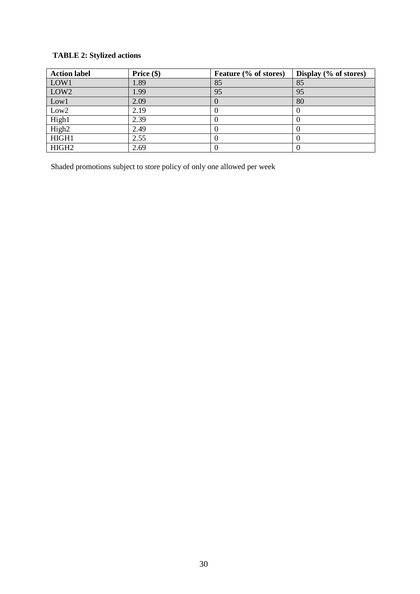# **TABLE 2: Stylized actions**

| <b>Action label</b> | Price $(\$)$ | Feature (% of stores) | Display (% of stores) |
|---------------------|--------------|-----------------------|-----------------------|
| LOW1                | 1.89         | 85                    | 85                    |
| LOW <sub>2</sub>    | 1.99         | 95                    | 95                    |
| Low1                | 2.09         |                       | 80                    |
| Low <sub>2</sub>    | 2.19         |                       |                       |
| High1               | 2.39         |                       |                       |
| High <sub>2</sub>   | 2.49         |                       |                       |
| HIGH1               | 2.55         |                       |                       |
| HIGH <sub>2</sub>   | 2.69         |                       |                       |

Shaded promotions subject to store policy of only one allowed per week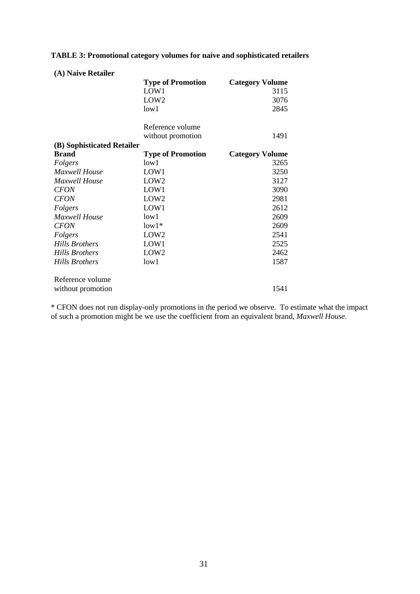# **TABLE 3: Promotional category volumes for naive and sophisticated retailers**

| (A) Naive Retailer         |                          |                        |
|----------------------------|--------------------------|------------------------|
|                            | <b>Type of Promotion</b> | <b>Category Volume</b> |
|                            | LOW1                     | 3115                   |
|                            | LOW <sub>2</sub>         | 3076                   |
|                            | low1                     | 2845                   |
|                            | Reference volume         |                        |
|                            | without promotion        | 1491                   |
| (B) Sophisticated Retailer |                          |                        |
| <b>Brand</b>               | <b>Type of Promotion</b> | <b>Category Volume</b> |
| Folgers                    | low1                     | 3265                   |
| Maxwell House              | LOW1                     | 3250                   |
| Maxwell House              | LOW <sub>2</sub>         | 3127                   |
| <b>CFON</b>                | LOW1                     | 3090                   |
| <b>CFON</b>                | LOW <sub>2</sub>         | 2981                   |
| Folgers                    | LOW1                     | 2612                   |
| Maxwell House              | low1                     | 2609                   |
| <b>CFON</b>                | $low1*$                  | 2609                   |
| Folgers                    | LOW <sub>2</sub>         | 2541                   |
| Hills Brothers             | LOW1                     | 2525                   |
| Hills Brothers             | LOW <sub>2</sub>         | 2462                   |
| <b>Hills Brothers</b>      | low1                     | 1587                   |
| Reference volume           |                          |                        |
| without promotion          |                          | 1541                   |

\* CFON does not run display-only promotions in the period we observe. To estimate what the impact of such a promotion might be we use the coefficient from an equivalent brand, *Maxwell House*.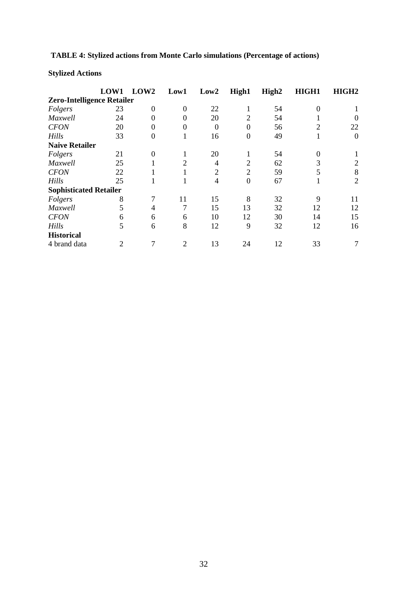# **TABLE 4: Stylized actions from Monte Carlo simulations (Percentage of actions)**

# **Stylized Actions**

|                                   | LOW1 | LOW <sub>2</sub> | Low1           | Low2           | High1          | High <sub>2</sub> | HIGH1    | HIGH <sub>2</sub> |
|-----------------------------------|------|------------------|----------------|----------------|----------------|-------------------|----------|-------------------|
| <b>Zero-Intelligence Retailer</b> |      |                  |                |                |                |                   |          |                   |
| Folgers                           | 23   | $\Omega$         | $\Omega$       | 22             | 1              | 54                | $\Omega$ |                   |
| Maxwell                           | 24   | 0                | 0              | 20             | $\overline{2}$ | 54                |          |                   |
| <b>CFON</b>                       | 20   | 0                |                | $\theta$       | $\theta$       | 56                | 2        | 22                |
| Hills                             | 33   | $\theta$         |                | 16             | 0              | 49                |          | $\Omega$          |
| <b>Naive Retailer</b>             |      |                  |                |                |                |                   |          |                   |
| Folgers                           | 21   | $\Omega$         |                | 20             | 1              | 54                | $\Omega$ |                   |
| Maxwell                           | 25   |                  | 2              | 4              | $\overline{2}$ | 62                | 3        | 2                 |
| <b>CFON</b>                       | 22   |                  | л.             | $\overline{2}$ | $\overline{2}$ | 59                | 5        | 8                 |
| <b>Hills</b>                      | 25   |                  | -1             | 4              | $\overline{0}$ | 67                |          | $\overline{2}$    |
| <b>Sophisticated Retailer</b>     |      |                  |                |                |                |                   |          |                   |
| Folgers                           | 8    |                  | 11             | 15             | 8              | 32                | 9        | 11                |
| Maxwell                           | 5    | 4                | 7              | 15             | 13             | 32                | 12       | 12                |
| <b>CFON</b>                       | 6    | 6                | 6              | 10             | 12             | 30                | 14       | 15                |
| Hills                             | 5    | 6                | 8              | 12             | 9              | 32                | 12       | 16                |
| <b>Historical</b>                 |      |                  |                |                |                |                   |          |                   |
| 4 brand data                      | 2    |                  | $\overline{c}$ | 13             | 24             | 12                | 33       |                   |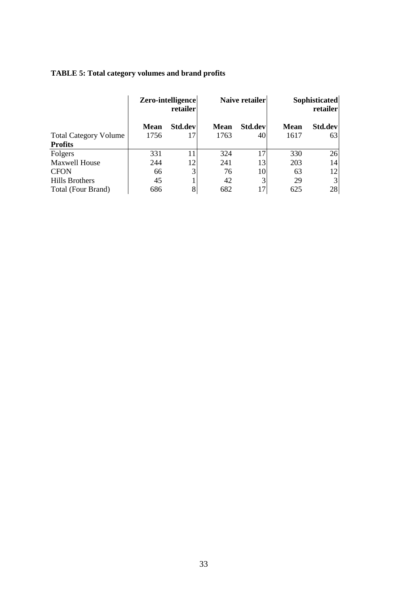# **TABLE 5: Total category volumes and brand profits**

|                              | Zero-intelligence<br>retailer |                | Naive retailer |         | Sophisticated<br>retailer |         |
|------------------------------|-------------------------------|----------------|----------------|---------|---------------------------|---------|
|                              | <b>Mean</b>                   | Std.dev        | <b>Mean</b>    | Std.dev | <b>Mean</b>               | Std.dev |
| <b>Total Category Volume</b> | 1756                          | 17             | 1763           | 40      | 1617                      | 63      |
| <b>Profits</b>               |                               |                |                |         |                           |         |
| Folgers                      | 331                           | 11             | 324            | 17      | 330                       | 26      |
| <b>Maxwell House</b>         | 244                           | 12             | 241            | 13      | 203                       | 14      |
| <b>CFON</b>                  | 66                            | $\mathfrak{Z}$ | 76             | 10      | 63                        | 12      |
| <b>Hills Brothers</b>        | 45                            |                | 42             | 3       | 29                        | 3       |
| Total (Four Brand)           | 686                           | 8              | 682            | 17      | 625                       | 28      |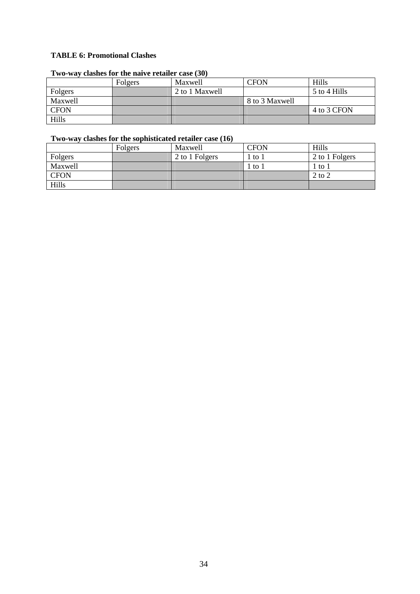## **TABLE 6: Promotional Clashes**

## **Two-way clashes for the naive retailer case (30)**

|             | Folgers | Maxwell        | <b>CFON</b>    | Hills        |
|-------------|---------|----------------|----------------|--------------|
| Folgers     |         | 2 to 1 Maxwell |                | 5 to 4 Hills |
| Maxwell     |         |                | 8 to 3 Maxwell |              |
| <b>CFON</b> |         |                |                | 4 to 3 CFON  |
| Hills       |         |                |                |              |

## **Two-way clashes for the sophisticated retailer case (16)**

|             | Folgers | Maxwell        | <b>CFON</b> | Hills                          |
|-------------|---------|----------------|-------------|--------------------------------|
| Folgers     |         | 2 to 1 Folgers | to 1        | 2 to 1 Folgers                 |
| Maxwell     |         |                | to 1        | $\frac{1}{2}$ to $\frac{1}{2}$ |
| <b>CFON</b> |         |                |             | $2$ to $2$                     |
| Hills       |         |                |             |                                |